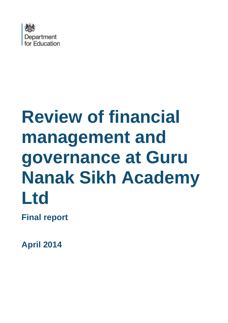

# **Review of financial management and governance at Guru Nanak Sikh Academy Ltd**

**Final report**

**April 2014**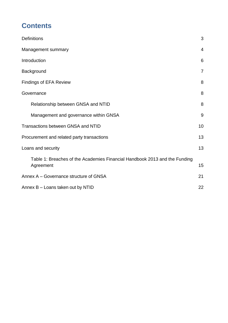# **Contents**

| <b>Definitions</b>                                                                      | 3              |
|-----------------------------------------------------------------------------------------|----------------|
| Management summary                                                                      | $\overline{4}$ |
| Introduction                                                                            | 6              |
| Background                                                                              | $\overline{7}$ |
| <b>Findings of EFA Review</b>                                                           | 8              |
| Governance                                                                              | 8              |
| Relationship between GNSA and NTID                                                      | 8              |
| Management and governance within GNSA                                                   | 9              |
| <b>Transactions between GNSA and NTID</b>                                               | 10             |
| Procurement and related party transactions                                              | 13             |
| Loans and security                                                                      | 13             |
| Table 1: Breaches of the Academies Financial Handbook 2013 and the Funding<br>Agreement | 15             |
| Annex A – Governance structure of GNSA                                                  | 21             |
| Annex B - Loans taken out by NTID                                                       | 22             |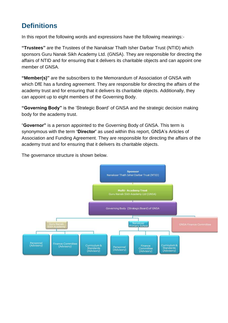# <span id="page-2-0"></span>**Definitions**

In this report the following words and expressions have the following meanings:-

**"Trustees"** are the Trustees of the Nanaksar Thath Isher Darbar Trust (NTID) which sponsors Guru Nanak Sikh Academy Ltd. (GNSA). They are responsible for directing the affairs of NTID and for ensuring that it delivers its charitable objects and can appoint one member of GNSA

**"Member(s)"** are the subscribers to the Memorandum of Association of GNSA with which DfE has a funding agreement. They are responsible for directing the affairs of the academy trust and for ensuring that it delivers its charitable objects. Additionally, they can appoint up to eight members of the Governing Body.

**"Governing Body"** is the 'Strategic Board' of GNSA and the strategic decision making body for the academy trust.

"**Governor"** is a person appointed to the Governing Body of GNSA. This term is synonymous with the term **'Director'** as used within this report, GNSA's Articles of Association and Funding Agreement. They are responsible for directing the affairs of the academy trust and for ensuring that it delivers its charitable objects.

The governance structure is shown below.

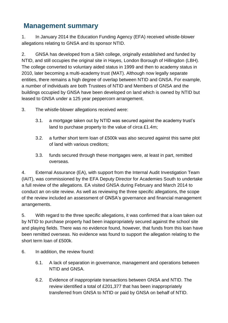## <span id="page-3-0"></span>**Management summary**

1. In January 2014 the Education Funding Agency (EFA) received whistle-blower allegations relating to GNSA and its sponsor NTID.

2. GNSA has developed from a Sikh college, originally established and funded by NTID, and still occupies the original site in Hayes, London Borough of Hillingdon (LBH). The college converted to voluntary aided status in 1999 and then to academy status in 2010, later becoming a multi-academy trust (MAT). Although now legally separate entities, there remains a high degree of overlap between NTID and GNSA. For example, a number of individuals are both Trustees of NTID and Members of GNSA and the buildings occupied by GNSA have been developed on land which is owned by NTID but leased to GNSA under a 125 year peppercorn arrangement.

- 3. The whistle-blower allegations received were:
	- 3.1. a mortgage taken out by NTID was secured against the academy trust's land to purchase property to the value of circa £1.4m;
	- 3.2. a further short term loan of £500k was also secured against this same plot of land with various creditors;
	- 3.3. funds secured through these mortgages were, at least in part, remitted overseas.

4. External Assurance (EA), with support from the Internal Audit Investigation Team (IAIT), was commissioned by the EFA Deputy Director for Academies South to undertake a full review of the allegations. EA visited GNSA during February and March 2014 to conduct an on-site review. As well as reviewing the three specific allegations, the scope of the review included an assessment of GNSA's governance and financial management arrangements.

5. With regard to the three specific allegations, it was confirmed that a loan taken out by NTID to purchase property had been inappropriately secured against the school site and playing fields. There was no evidence found, however, that funds from this loan have been remitted overseas. No evidence was found to support the allegation relating to the short term loan of £500k.

6. In addition, the review found:

- 6.1. A lack of separation in governance, management and operations between NTID and GNSA.
- 6.2. Evidence of inappropriate transactions between GNSA and NTID. The review identified a total of £201,377 that has been inappropriately transferred from GNSA to NTID or paid by GNSA on behalf of NTID.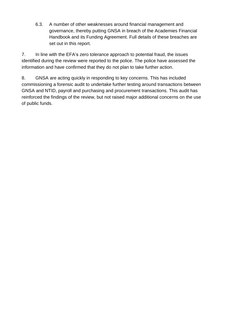6.3. A number of other weaknesses around financial management and governance, thereby putting GNSA in breach of the Academies Financial Handbook and its Funding Agreement. Full details of these breaches are set out in this report.

7. In line with the EFA's zero tolerance approach to potential fraud, the issues identified during the review were reported to the police. The police have assessed the information and have confirmed that they do not plan to take further action.

8. GNSA are acting quickly in responding to key concerns. This has included commissioning a forensic audit to undertake further testing around transactions between GNSA and NTID, payroll and purchasing and procurement transactions. This audit has reinforced the findings of the review, but not raised major additional concerns on the use of public funds.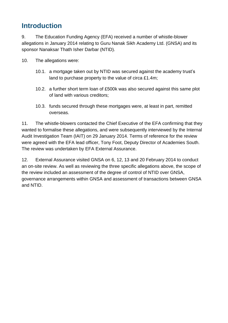## <span id="page-5-0"></span>**Introduction**

9. The Education Funding Agency (EFA) received a number of whistle-blower allegations in January 2014 relating to Guru Nanak Sikh Academy Ltd. (GNSA) and its sponsor Nanaksar Thath Isher Darbar (NTID).

- 10. The allegations were:
	- 10.1. a mortgage taken out by NTID was secured against the academy trust's land to purchase property to the value of circa £1.4m;
	- 10.2. a further short term loan of £500k was also secured against this same plot of land with various creditors;
	- 10.3. funds secured through these mortgages were, at least in part, remitted overseas.

11. The whistle-blowers contacted the Chief Executive of the EFA confirming that they wanted to formalise these allegations, and were subsequently interviewed by the Internal Audit Investigation Team (IAIT) on 29 January 2014. Terms of reference for the review were agreed with the EFA lead officer, Tony Foot, Deputy Director of Academies South. The review was undertaken by EFA External Assurance.

12. External Assurance visited GNSA on 6, 12, 13 and 20 February 2014 to conduct an on-site review. As well as reviewing the three specific allegations above, the scope of the review included an assessment of the degree of control of NTID over GNSA, governance arrangements within GNSA and assessment of transactions between GNSA and NTID.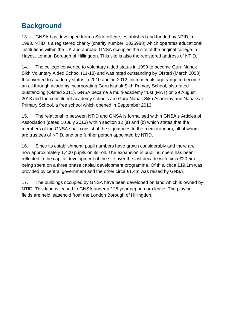# <span id="page-6-0"></span>**Background**

13. GNSA has developed from a Sikh college, established and funded by NTID in 1993. NTID is a registered charity (charity number: 1025988) which operates educational institutions within the UK and abroad. GNSA occupies the site of the original college in Hayes, London Borough of Hillingdon. This site is also the registered address of NTID.

14. The college converted to voluntary aided status in 1999 to become Guru Nanak Sikh Voluntary Aided School (11-18) and was rated outstanding by Ofsted (March 2008). It converted to academy status in 2010 and, in 2012, increased its age range to become an all through academy incorporating Guru Nanak Sikh Primary School, also rated outstanding (Ofsted 2011). GNSA became a multi-academy trust (MAT) on 29 August 2013 and the constituent academy schools are Guru Nanak Sikh Academy and Nanaksar Primary School, a free school which opened in September 2013.

15. The relationship between NTID and GNSA is formalised within GNSA's Articles of Association (dated 10 July 2013) within section 12 (a) and (b) which states that the members of the GNSA shall consist of the signatories to the memorandum, all of whom are trustees of NTID, and one further person appointed by NTID.

16. Since its establishment, pupil numbers have grown considerably and there are now approximately 1,400 pupils on its roll. The expansion in pupil numbers has been reflected in the capital development of the site over the last decade with circa £20.5m being spent on a three phase capital development programme. Of this, circa £19.1m was provided by central government and the other circa £1.4m was raised by GNSA.

17. The buildings occupied by GNSA have been developed on land which is owned by NTID. This land is leased to GNSA under a 125 year peppercorn lease. The playing fields are held leasehold from the London Borough of Hillingdon.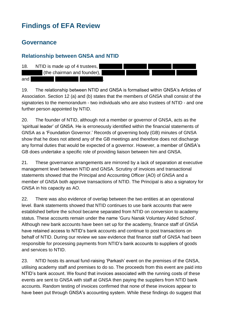# <span id="page-7-0"></span>**Findings of EFA Review**

### <span id="page-7-1"></span>**Governance**

#### <span id="page-7-2"></span>**Relationship between GNSA and NTID**



19. The relationship between NTID and GNSA is formalised within GNSA's Articles of Association. Section 12 (a) and (b) states that the members of GNSA shall consist of the signatories to the memorandum - two individuals who are also trustees of NTID - and one further person appointed by NTID.

20. The founder of NTID, although not a member or governor of GNSA, acts as the 'spiritual leader' of GNSA. He is erroneously identified within the financial statements of GNSA as a 'Foundation Governor.' Records of governing body (GB) minutes of GNSA show that he does not attend any of the GB meetings and therefore does not discharge any formal duties that would be expected of a governor. However, a member of GNSA's GB does undertake a specific role of providing liaison between him and GNSA.

21. These governance arrangements are mirrored by a lack of separation at executive management level between NTID and GNSA. Scrutiny of invoices and transactional statements showed that the Principal and Accounting Officer (AO) of GNSA and a member of GNSA both approve transactions of NTID. The Principal is also a signatory for GNSA in his capacity as AO.

22. There was also evidence of overlap between the two entities at an operational level. Bank statements showed that NTID continues to use bank accounts that were established before the school became separated from NTID on conversion to academy status. These accounts remain under the name 'Guru Nanak Voluntary Aided School'. Although new bank accounts have been set up for the academy, finance staff of GNSA have retained access to NTID's bank accounts and continue to post transactions on behalf of NTID. During our review we saw evidence that finance staff of GNSA had been responsible for processing payments from NTID's bank accounts to suppliers of goods and services to NTID.

23. NTID hosts its annual fund-raising 'Parkash' event on the premises of the GNSA, utilising academy staff and premises to do so. The proceeds from this event are paid into NTID's bank account. We found that invoices associated with the running costs of these events are sent to GNSA with staff at GNSA then paying the suppliers from NTID bank accounts. Random testing of invoices confirmed that none of these invoices appear to have been put through GNSA's accounting system. While these findings do suggest that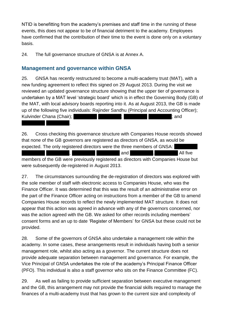NTID is benefitting from the academy's premises and staff time in the running of these events, this does not appear to be of financial detriment to the academy. Employees have confirmed that the contribution of their time to the event is done only on a voluntary basis.

24. The full governance structure of GNSA is at Annex A.

#### <span id="page-8-0"></span>**Management and governance within GNSA**

25. GNSA has recently restructured to become a multi-academy trust (MAT), with a new funding agreement to reflect this signed on 29 August 2013. During the visit we reviewed an updated governance structure showing that the upper tier of governance is undertaken by a MAT level 'strategic board' which is in effect the Governing Body (GB) of the MAT, with local advisory boards reporting into it. As at August 2013, the GB is made up of the following five individuals: Rajinder Sandhu (Principal and Accounting Officer); Kulvinder Chana (Chair);  $\qquad \qquad ; \qquad \qquad$  :  $\qquad \qquad$  : and <redacted> <redacted>.

26. Cross checking this governance structure with Companies House records showed that none of the GB governors are registered as directors of GNSA, as would be expected. The only registered directors were the three members of GNSA: extended by the contracted and  $\qquad \qquad$  . All five

members of the GB were previously registered as directors with Companies House but were subsequently de-registered in August 2013.

27. The circumstances surrounding the de-registration of directors was explored with the sole member of staff with electronic access to Companies House, who was the Finance Officer. It was determined that this was the result of an administrative error on the part of the Finance Officer acting on instructions from a member of the GB to amend Companies House records to reflect the newly implemented MAT structure. It does not appear that this action was agreed in advance with any of the governors concerned, nor was the action agreed with the GB. We asked for other records including members' consent forms and an up to date 'Register of Members' for GNSA but these could not be provided.

28. Some of the governors of GNSA also undertake a management role within the academy. In some cases, these arrangements result in individuals having both a senior management role, whilst also acting as a governor. The current structure does not provide adequate separation between management and governance. For example, the Vice Principal of GNSA undertakes the role of the academy's Principal Finance Officer (PFO). This individual is also a staff governor who sits on the Finance Committee (FC).

29. As well as failing to provide sufficient separation between executive management and the GB, this arrangement may not provide the financial skills required to manage the finances of a multi-academy trust that has grown to the current size and complexity of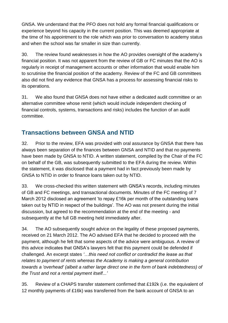GNSA. We understand that the PFO does not hold any formal financial qualifications or experience beyond his capacity in the current position. This was deemed appropriate at the time of his appointment to the role which was prior to conversation to academy status and when the school was far smaller in size than currently.

30. The review found weaknesses in how the AO provides oversight of the academy's financial position. It was not apparent from the review of GB or FC minutes that the AO is regularly in receipt of management accounts or other information that would enable him to scrutinise the financial position of the academy. Review of the FC and GB committees also did not find any evidence that GNSA has a process for assessing financial risks to its operations.

31. We also found that GNSA does not have either a dedicated audit committee or an alternative committee whose remit (which would include independent checking of financial controls, systems, transactions and risks) includes the function of an audit committee.

## <span id="page-9-0"></span>**Transactions between GNSA and NTID**

32. Prior to the review, EFA was provided with oral assurance by GNSA that there has always been separation of the finances between GNSA and NTID and that no payments have been made by GNSA to NTID. A written statement, compiled by the Chair of the FC on behalf of the GB, was subsequently submitted to the EFA during the review. Within the statement, it was disclosed that a payment had in fact previously been made by GNSA to NTID in order to finance loans taken out by NTID.

33. We cross-checked this written statement with GNSA's records, including minutes of GB and FC meetings, and transactional documents. Minutes of the FC meeting of 7 March 2012 disclosed an agreement 'to repay £16k per month of the outstanding loans taken out by NTID in respect of the buildings'. The AO was not present during the initial discussion, but agreed to the recommendation at the end of the meeting - and subsequently at the full GB meeting held immediately after.

34. The AO subsequently sought advice on the legality of these proposed payments, received on 21 March 2012. The AO advised EFA that he decided to proceed with the payment, although he felt that some aspects of the advice were ambiguous. A review of this advice indicates that GNSA's lawyers felt that this payment could be defended if challenged. An excerpt states *'…this need not conflict or contradict the lease as that relates to payment of rents whereas the Academy is making a general contribution towards a 'overhead' (albeit a rather large direct one in the form of bank indebtedness) of the Trust and not a rental payment itself...'*

35. Review of a CHAPS transfer statement confirmed that £192k (i.e. the equivalent of 12 monthly payments of £16k) was transferred from the bank account of GNSA to an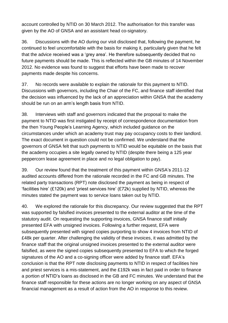account controlled by NTID on 30 March 2012. The authorisation for this transfer was given by the AO of GNSA and an assistant head co-signatory.

36. Discussions with the AO during our visit disclosed that, following the payment, he continued to feel uncomfortable with the basis for making it, particularly given that he felt that the advice received was a 'grey area'. He therefore subsequently decided that no future payments should be made. This is reflected within the GB minutes of 14 November 2012. No evidence was found to suggest that efforts have been made to recover payments made despite his concerns.

37. No records were available to explain the rationale for this payment to NTID. Discussions with governors, including the Chair of the FC, and finance staff identified that the decision was influenced by the lack of an appreciation within GNSA that the academy should be run on an arm's length basis from NTID.

38. Interviews with staff and governors indicated that the proposal to make the payment to NTID was first instigated by receipt of correspondence documentation from the then Young People's Learning Agency, which included guidance on the circumstances under which an academy trust may pay occupancy costs to their landlord. The exact document in question could not be confirmed. We understand that the governors of GNSA felt that such payments to NTID would be equitable on the basis that the academy occupies a site legally owned by NTID (despite there being a 125 year peppercorn lease agreement in place and no legal obligation to pay).

39. Our review found that the treatment of this payment within GNSA's 2011-12 audited accounts differed from the rationale recorded in the FC and GB minutes. The related party transactions (RPT) note disclosed the payment as being in respect of 'facilities hire' (£120k) and 'priest services hire' (£72k) supplied by NTID, whereas the minutes stated the payment was to service loans taken out by NTID.

40. We explored the rationale for this discrepancy. Our review suggested that the RPT was supported by falsified invoices presented to the external auditor at the time of the statutory audit. On requesting the supporting invoices, GNSA finance staff initially presented EFA with unsigned invoices. Following a further request, EFA were subsequently presented with signed copies purporting to show 4 invoices from NTID of £48k per quarter. After challenging the validity of these invoices, it was admitted by the finance staff that the original unsigned invoices presented to the external auditor were falsified, as were the signed copies subsequently presented to EFA to which the forged signatures of the AO and a co-signing officer were added by finance staff. EFA's conclusion is that the RPT note disclosing payments to NTID in respect of facilities hire and priest services is a mis-statement, and the £192k was in fact paid in order to finance a portion of NTID's loans as disclosed in the GB and FC minutes. We understand that the finance staff responsible for these actions are no longer working on any aspect of GNSA financial management as a result of action from the AO in response to this review.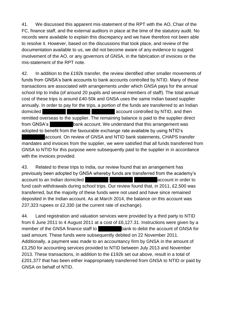41. We discussed this apparent mis-statement of the RPT with the AO, Chair of the FC, finance staff, and the external auditors in place at the time of the statutory audit. No records were available to explain this discrepancy and we have therefore not been able to resolve it. However, based on the discussions that took place, and review of the documentation available to us, we did not become aware of any evidence to suggest involvement of the AO, or any governors of GNSA, in the fabrication of invoices or the mis-statement of the RPT note.

42. In addition to the £192k transfer, the review identified other smaller movements of funds from GNSA's bank accounts to bank accounts controlled by NTID. Many of these transactions are associated with arrangements under which GNSA pays for the annual school trip to India (of around 20 pupils and several members of staff). The total annual cost of these trips is around £40-50k and GNSA uses the same Indian based supplier annually. In order to pay for the trips, a portion of the funds are transferred to an Indian domiciled domiciled  $\blacksquare$ remitted overseas to the supplier. The remaining balance is paid to the supplier direct from GNSA's bank account. We understand that this arrangement was adopted to benefit from the favourable exchange rate available by using NTID's

account. On review of GNSA and NTID bank statements, CHAPS transfer mandates and invoices from the supplier, we were satisfied that all funds transferred from GNSA to NTID for this purpose were subsequently paid to the supplier in in accordance with the invoices provided.

43. Related to these trips to India, our review found that an arrangement has previously been adopted by GNSA whereby funds are transferred from the academy's account to an Indian domiciled example to the secount in order to fund cash withdrawals during school trips. Our review found that, in 2011, £2,500 was transferred, but the majority of these funds were not used and have since remained deposited in the Indian account. As at March 2014, the balance on this account was 237,323 rupees or £2,330 (at the current rate of exchange).

44. Land registration and valuation services were provided by a third party to NTID from 6 June 2011 to 4 August 2011 at a cost of £6,127.31. Instructions were given by a member of the GNSA finance staff to **the set of the account of GNSA** for said amount. These funds were subsequently debited on 22 November 2011. Additionally, a payment was made to an accountancy firm by GNSA in the amount of £3,250 for accounting services provided to NTID between July 2013 and November 2013. These transactions, in addition to the £192k set out above, result in a total of £201,377 that has been either inappropriately transferred from GNSA to NTID or paid by GNSA on behalf of NTID.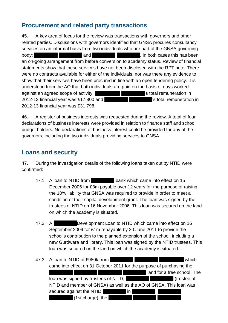## <span id="page-12-0"></span>**Procurement and related party transactions**

45. A key area of focus for the review was transactions with governors and other related parties. Discussions with governors identified that GNSA procures consultancy services on an informal basis from two individuals who are part of the GNSA governing body; the cases this has been and the cases of the state of the body: an on-going arrangement from before conversion to academy status. Review of financial statements show that these services have not been disclosed with the RPT note. There were no contracts available for either of the individuals, nor was there any evidence to show that their services have been procured in line with an open tendering policy. It is understood from the AO that both individuals are paid on the basis of days worked against an agreed scope of activity. An example in the state of stotal remuneration in 2012-13 financial year was £17,800 and **Example 2012-13** is total remuneration in 2012-13 financial year was £31,798.

46. A register of business interests was requested during the review. A total of four declarations of business interests were provided in relation to finance staff and school budget holders. No declarations of business interest could be provided for any of the governors, including the two individuals providing services to GNSA.

## <span id="page-12-1"></span>**Loans and security**

47. During the investigation details of the following loans taken out by NTID were confirmed:

- 47.1. A loan to NTID from bank which came into effect on 15 December 2006 for £3m payable over 12 years for the purpose of raising the 10% liability that GNSA was required to provide in order to meet a condition of their capital development grant. The loan was signed by the trustees of NTID on 16 November 2006. This loan was secured on the land on which the academy is situated.
- 47.2. A Development Loan to NTID which came into effect on 16 September 2009 for £1m repayable by 30 June 2011 to provide the school's contribution to the planned extension of the school, including a new Gurdwara and library. This loan was signed by the NTID trustees. This loan was secured on the land on which the academy is situated.

| 47.3. A loan to NTID of £980k from                                    |                  |                             | which      |
|-----------------------------------------------------------------------|------------------|-----------------------------|------------|
| came into effect on 31 October 2011 for the purpose of purchasing the |                  |                             |            |
|                                                                       |                  | land for a free school. The |            |
| loan was signed by trustees of NTID,                                  | <b>Albumnu</b> r |                             | trustee of |
| NTID and member of GNSA) as well as the AO of GNSA. This loan was     |                  |                             |            |
| in<br>secured against the NTID                                        |                  |                             |            |
| (1st charge), the                                                     |                  |                             |            |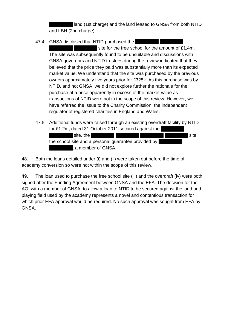land (1st charge) and the land leased to GNSA from both NTID and LBH (2nd charge).

47.4. GNSA disclosed that NTID purchased the

site for the free school for the amount of £1.4m. The site was subsequently found to be unsuitable and discussions with GNSA governors and NTID trustees during the review indicated that they believed that the price they paid was substantially more than its expected market value. We understand that the site was purchased by the previous owners approximately five years prior for £325k. As this purchase was by NTID, and not GNSA, we did not explore further the rationale for the purchase at a price apparently in excess of the market value as transactions of NTID were not in the scope of this review. However, we have referred the issue to the Charity Commission; the independent regulator of registered charities in England and Wales.

47.5. Additional funds were raised through an existing overdraft facility by NTID for £1.2m, dated 31 October 2011 secured against the site, the site of the site of the site, the site,  $\blacksquare$ the school site and a personal quarantee provided by , a member of GNSA.

48. Both the loans detailed under (i) and (ii) were taken out before the time of academy conversion so were not within the scope of this review.

49. The loan used to purchase the free school site (iii) and the overdraft (iv) were both signed after the Funding Agreement between GNSA and the EFA. The decision for the AO, with a member of GNSA, to allow a loan to NTID to be secured against the land and playing field used by the academy represents a novel and contentious transaction for which prior EFA approval would be required. No such approval was sought from EFA by GNSA.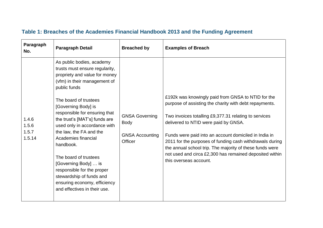<span id="page-14-0"></span>

| Paragraph<br>No. | <b>Paragraph Detail</b>                                                                                                                                                 | <b>Breached by</b>                | <b>Examples of Breach</b>                                                                                                                                                     |
|------------------|-------------------------------------------------------------------------------------------------------------------------------------------------------------------------|-----------------------------------|-------------------------------------------------------------------------------------------------------------------------------------------------------------------------------|
|                  | As public bodies, academy<br>trusts must ensure regularity,<br>propriety and value for money<br>(vfm) in their management of<br>public funds                            |                                   |                                                                                                                                                                               |
|                  | The board of trustees<br>[Governing Body] is                                                                                                                            |                                   | £192k was knowingly paid from GNSA to NTID for the<br>purpose of assisting the charity with debt repayments.                                                                  |
| 1.4.6<br>1.5.6   | responsible for ensuring that<br>the trust's [MAT's] funds are<br>used only in accordance with<br>the law, the FA and the<br>Academies financial<br>handbook.           | <b>GNSA Governing</b><br>Body     | Two invoices totalling £9,377.31 relating to services<br>delivered to NTID were paid by GNSA.                                                                                 |
| 1.5.7<br>1.5.14  |                                                                                                                                                                         | <b>GNSA Accounting</b><br>Officer | Funds were paid into an account domiciled in India in<br>2011 for the purposes of funding cash withdrawals during<br>the annual school trip. The majority of these funds were |
|                  | The board of trustees<br>[Governing Body]  is<br>responsible for the proper<br>stewardship of funds and<br>ensuring economy, efficiency<br>and effectives in their use. |                                   | not used and circa £2,300 has remained deposited within<br>this overseas account.                                                                                             |

## **Table 1: Breaches of the Academies Financial Handbook 2013 and the Funding Agreement**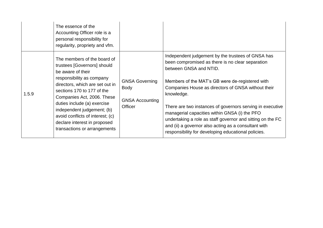|       | The essence of the<br>Accounting Officer role is a<br>personal responsibility for<br>regularity, propriety and vfm.                                                                                                                                                                                                                                                          |                                                                                  |                                                                                                                                                                                                                                                                                                                                                                                                                                                                                                                                                   |
|-------|------------------------------------------------------------------------------------------------------------------------------------------------------------------------------------------------------------------------------------------------------------------------------------------------------------------------------------------------------------------------------|----------------------------------------------------------------------------------|---------------------------------------------------------------------------------------------------------------------------------------------------------------------------------------------------------------------------------------------------------------------------------------------------------------------------------------------------------------------------------------------------------------------------------------------------------------------------------------------------------------------------------------------------|
| 1.5.9 | The members of the board of<br>trustees [Governors] should<br>be aware of their<br>responsibility as company<br>directors, which are set out in<br>sections 170 to 177 of the<br>Companies Act, 2006. These<br>duties include (a) exercise<br>independent judgement; (b)<br>avoid conflicts of interest; (c)<br>declare interest in proposed<br>transactions or arrangements | <b>GNSA Governing</b><br><b>Body</b><br><b>GNSA Accounting</b><br><b>Officer</b> | Independent judgement by the trustees of GNSA has<br>been compromised as there is no clear separation<br>between GNSA and NTID.<br>Members of the MAT's GB were de-registered with<br>Companies House as directors of GNSA without their<br>knowledge.<br>There are two instances of governors serving in executive<br>managerial capacities within GNSA (i) the PFO<br>undertaking a role as staff governor and sitting on the FC<br>and (ii) a governor also acting as a consultant with<br>responsibility for developing educational policies. |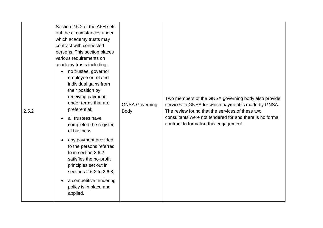| 2.5.2 | Section 2.5.2 of the AFH sets<br>out the circumstances under<br>which academy trusts may<br>contract with connected<br>persons. This section places<br>various requirements on<br>academy trusts including:<br>no trustee, governor,<br>employee or related<br>individual gains from<br>their position by<br>receiving payment<br>under terms that are<br>preferential;<br>all trustees have<br>$\bullet$<br>completed the register<br>of business<br>any payment provided<br>to the persons referred<br>to in section 2.6.2<br>satisfies the no-profit<br>principles set out in<br>sections 2.6.2 to 2.6.8;<br>a competitive tendering<br>policy is in place and<br>applied. | <b>GNSA Governing</b><br><b>Body</b> | Two members of the GNSA governing body also provide<br>services to GNSA for which payment is made by GNSA.<br>The review found that the services of these two<br>consultants were not tendered for and there is no formal<br>contract to formalise this engagement. |
|-------|-------------------------------------------------------------------------------------------------------------------------------------------------------------------------------------------------------------------------------------------------------------------------------------------------------------------------------------------------------------------------------------------------------------------------------------------------------------------------------------------------------------------------------------------------------------------------------------------------------------------------------------------------------------------------------|--------------------------------------|---------------------------------------------------------------------------------------------------------------------------------------------------------------------------------------------------------------------------------------------------------------------|
|-------|-------------------------------------------------------------------------------------------------------------------------------------------------------------------------------------------------------------------------------------------------------------------------------------------------------------------------------------------------------------------------------------------------------------------------------------------------------------------------------------------------------------------------------------------------------------------------------------------------------------------------------------------------------------------------------|--------------------------------------|---------------------------------------------------------------------------------------------------------------------------------------------------------------------------------------------------------------------------------------------------------------------|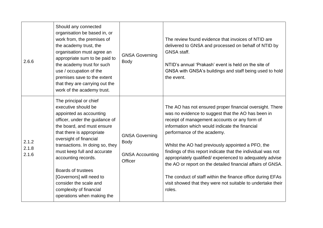| 2.6.6                   | Should any connected<br>organisation be based in, or<br>work from, the premises of<br>the academy trust, the<br>organisation must agree an<br>appropriate sum to be paid to<br>the academy trust for such<br>use / occupation of the<br>premises save to the extent<br>that they are carrying out the<br>work of the academy trust.                                                                                           | <b>GNSA Governing</b><br><b>Body</b>                                      | The review found evidence that invoices of NTID are<br>delivered to GNSA and processed on behalf of NTID by<br>GNSA staff.<br>NTID's annual 'Prakash' event is held on the site of<br>GNSA with GNSA's buildings and staff being used to hold<br>the event.                                                                                                                                                                                                                                                                                                                                                                             |
|-------------------------|-------------------------------------------------------------------------------------------------------------------------------------------------------------------------------------------------------------------------------------------------------------------------------------------------------------------------------------------------------------------------------------------------------------------------------|---------------------------------------------------------------------------|-----------------------------------------------------------------------------------------------------------------------------------------------------------------------------------------------------------------------------------------------------------------------------------------------------------------------------------------------------------------------------------------------------------------------------------------------------------------------------------------------------------------------------------------------------------------------------------------------------------------------------------------|
| 2.1.2<br>2.1.8<br>2.1.6 | The principal or chief<br>executive should be<br>appointed as accounting<br>officer, under the guidance of<br>the board, and must ensure<br>that there is appropriate<br>oversight of financial<br>transactions. In doing so, they<br>must keep full and accurate<br>accounting records.<br>Boards of trustees<br>[Governors] will need to<br>consider the scale and<br>complexity of financial<br>operations when making the | <b>GNSA Governing</b><br><b>Body</b><br><b>GNSA Accounting</b><br>Officer | The AO has not ensured proper financial oversight. There<br>was no evidence to suggest that the AO has been in<br>receipt of management accounts or any form of<br>information which would indicate the financial<br>performance of the academy.<br>Whilst the AO had previously appointed a PFO, the<br>findings of this report indicate that the individual was not<br>appropriately qualified/experienced to adequately advise<br>the AO or report on the detailed financial affairs of GNSA.<br>The conduct of staff within the finance office during EFAs<br>visit showed that they were not suitable to undertake their<br>roles. |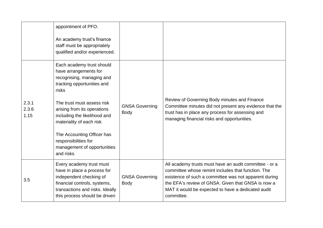|                        | appointment of PFO.<br>An academy trust's finance<br>staff must be appropriately<br>qualified and/or experienced.                                                                                                                                                                                                                                  |                                      |                                                                                                                                                                                                                                                                                                 |
|------------------------|----------------------------------------------------------------------------------------------------------------------------------------------------------------------------------------------------------------------------------------------------------------------------------------------------------------------------------------------------|--------------------------------------|-------------------------------------------------------------------------------------------------------------------------------------------------------------------------------------------------------------------------------------------------------------------------------------------------|
| 2.3.1<br>2.3.6<br>1.15 | Each academy trust should<br>have arrangements for<br>recognising, managing and<br>tracking opportunities and<br>risks<br>The trust must assess risk<br>arising from its operations<br>including the likelihood and<br>materiality of each risk<br>The Accounting Officer has<br>responsibilities for<br>management of opportunities<br>and risks. | <b>GNSA Governing</b><br><b>Body</b> | Review of Governing Body minutes and Finance<br>Committee minutes did not present any evidence that the<br>trust has in place any process for assessing and<br>managing financial risks and opportunities.                                                                                      |
| 3.5                    | Every academy trust must<br>have in place a process for<br>independent checking of<br>financial controls, systems,<br>transactions and risks. Ideally<br>this process should be driven                                                                                                                                                             | <b>GNSA Governing</b><br><b>Body</b> | All academy trusts must have an audit committee - or a<br>committee whose remint includes that function. The<br>existence of such a committee was not apparent during<br>the EFA's review of GNSA. Given that GNSA is now a<br>MAT it would be expected to have a dedicated audit<br>committee. |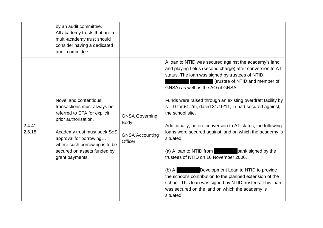|                  | by an audit committee.<br>All academy trusts that are a<br>multi-academy trust should<br>consider having a dedicated<br>audit committee.                                                                                                                 |                                                                           |                                                                                                                                                                                                                                                                                                                                                                                                                                                                                                                                                                                                                                                                                                                                                                                                                                                                      |
|------------------|----------------------------------------------------------------------------------------------------------------------------------------------------------------------------------------------------------------------------------------------------------|---------------------------------------------------------------------------|----------------------------------------------------------------------------------------------------------------------------------------------------------------------------------------------------------------------------------------------------------------------------------------------------------------------------------------------------------------------------------------------------------------------------------------------------------------------------------------------------------------------------------------------------------------------------------------------------------------------------------------------------------------------------------------------------------------------------------------------------------------------------------------------------------------------------------------------------------------------|
| 2.4.41<br>2.6.18 | Novel and contentious<br>transactions must always be<br>referred to EFA for explicit<br>prior authorisation.<br>Academy trust must seek SoS<br>approval for borrowing<br>where such borrowing is to be<br>secured on assets funded by<br>grant payments. | <b>GNSA Governing</b><br><b>Body</b><br><b>GNSA Accounting</b><br>Officer | A loan to NTID was secured against the academy's land<br>and playing fields (second charge) after conversion to AT<br>status. The loan was signed by trustees of NTID,<br>(trustee of NTID and member of<br>GNSA) as well as the AO of GNSA.<br>Funds were raised through an existing overdraft facility by<br>NTID for £1.2m, dated 31/10/11, in part secured against,<br>the school site.<br>Additionally, before conversion to AT status, the following<br>loans were secured against land on which the academy is<br>situated:<br>(a) A loan to NTID from bank signed by the<br>trustees of NTID on 16 November 2006.<br>Development Loan to NTID to provide<br>$(b)$ A<br>the school's contribution to the planned extension of the<br>school. This loan was signed by NTID trustees. This loan<br>was secured on the land on which the academy is<br>situated. |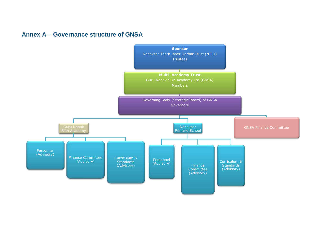#### **Annex A – Governance structure of GNSA**

<span id="page-20-0"></span>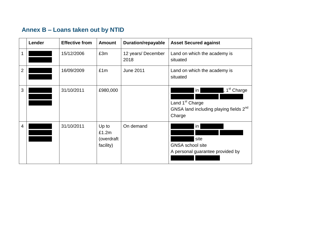# **Annex B – Loans taken out by NTID**

<span id="page-21-0"></span>

|                | Lender | <b>Effective from</b> | <b>Amount</b>                             | <b>Duration/repayable</b>  | <b>Asset Secured against</b>                                                                                                             |
|----------------|--------|-----------------------|-------------------------------------------|----------------------------|------------------------------------------------------------------------------------------------------------------------------------------|
| 1              |        | 15/12/2006            | £3m                                       | 12 years/ December<br>2018 | Land on which the academy is<br>situated                                                                                                 |
| $\overline{2}$ |        | 16/09/2009            | £1m                                       | <b>June 2011</b>           | Land on which the academy is<br>situated                                                                                                 |
| 3              |        | 31/10/2011            | £980,000                                  |                            | , 1 <sup>st</sup> Charge<br>$\mathsf{in}$<br>Land 1 <sup>st</sup> Charge<br>GNSA land including playing fields 2 <sup>nd</sup><br>Charge |
| $\overline{4}$ |        | 31/10/2011            | Up to<br>£1.2m<br>(overdraft<br>facility) | On demand                  | in<br>site<br><b>GNSA</b> school site<br>A personal guarantee provided by                                                                |